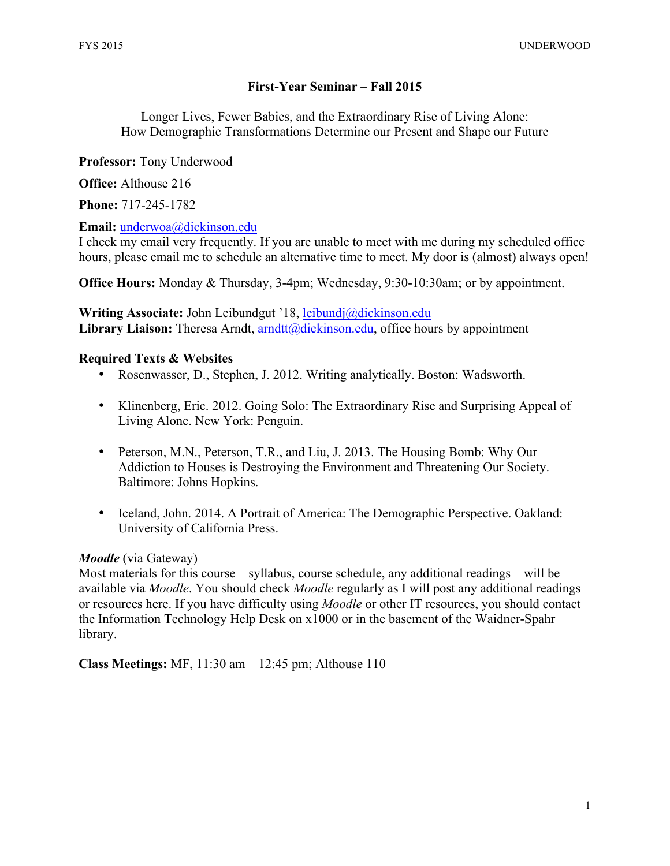# **First-Year Seminar – Fall 2015**

Longer Lives, Fewer Babies, and the Extraordinary Rise of Living Alone: How Demographic Transformations Determine our Present and Shape our Future

**Professor:** Tony Underwood

**Office:** Althouse 216

**Phone:** 717-245-1782

### **Email:** underwoa@dickinson.edu

I check my email very frequently. If you are unable to meet with me during my scheduled office hours, please email me to schedule an alternative time to meet. My door is (almost) always open!

**Office Hours:** Monday & Thursday, 3-4pm; Wednesday, 9:30-10:30am; or by appointment.

**Writing Associate:** John Leibundgut '18, leibundj@dickinson.edu Library Liaison: Theresa Arndt, arndtt@dickinson.edu, office hours by appointment

### **Required Texts & Websites**

- Rosenwasser, D., Stephen, J. 2012. Writing analytically. Boston: Wadsworth.
- Klinenberg, Eric. 2012. Going Solo: The Extraordinary Rise and Surprising Appeal of Living Alone. New York: Penguin.
- Peterson, M.N., Peterson, T.R., and Liu, J. 2013. The Housing Bomb: Why Our Addiction to Houses is Destroying the Environment and Threatening Our Society. Baltimore: Johns Hopkins.
- Iceland, John. 2014. A Portrait of America: The Demographic Perspective. Oakland: University of California Press.

## *Moodle* (via Gateway)

Most materials for this course – syllabus, course schedule, any additional readings – will be available via *Moodle*. You should check *Moodle* regularly as I will post any additional readings or resources here. If you have difficulty using *Moodle* or other IT resources, you should contact the Information Technology Help Desk on x1000 or in the basement of the Waidner-Spahr library.

**Class Meetings:** MF, 11:30 am – 12:45 pm; Althouse 110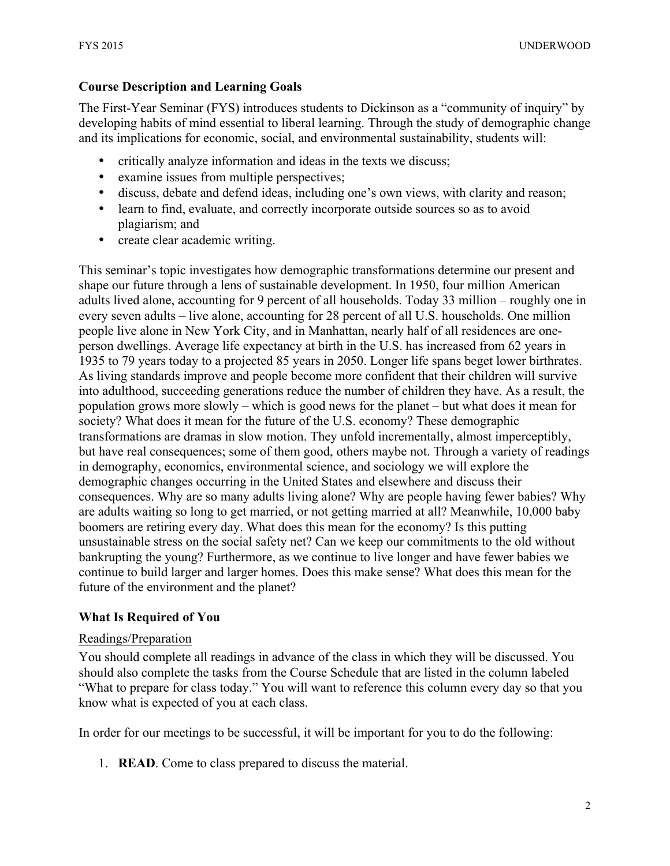## **Course Description and Learning Goals**

The First-Year Seminar (FYS) introduces students to Dickinson as a "community of inquiry" by developing habits of mind essential to liberal learning. Through the study of demographic change and its implications for economic, social, and environmental sustainability, students will:

- critically analyze information and ideas in the texts we discuss;
- examine issues from multiple perspectives;
- discuss, debate and defend ideas, including one's own views, with clarity and reason;
- learn to find, evaluate, and correctly incorporate outside sources so as to avoid plagiarism; and
- create clear academic writing.

This seminar's topic investigates how demographic transformations determine our present and shape our future through a lens of sustainable development. In 1950, four million American adults lived alone, accounting for 9 percent of all households. Today 33 million – roughly one in every seven adults – live alone, accounting for 28 percent of all U.S. households. One million people live alone in New York City, and in Manhattan, nearly half of all residences are oneperson dwellings. Average life expectancy at birth in the U.S. has increased from 62 years in 1935 to 79 years today to a projected 85 years in 2050. Longer life spans beget lower birthrates. As living standards improve and people become more confident that their children will survive into adulthood, succeeding generations reduce the number of children they have. As a result, the population grows more slowly – which is good news for the planet – but what does it mean for society? What does it mean for the future of the U.S. economy? These demographic transformations are dramas in slow motion. They unfold incrementally, almost imperceptibly, but have real consequences; some of them good, others maybe not. Through a variety of readings in demography, economics, environmental science, and sociology we will explore the demographic changes occurring in the United States and elsewhere and discuss their consequences. Why are so many adults living alone? Why are people having fewer babies? Why are adults waiting so long to get married, or not getting married at all? Meanwhile, 10,000 baby boomers are retiring every day. What does this mean for the economy? Is this putting unsustainable stress on the social safety net? Can we keep our commitments to the old without bankrupting the young? Furthermore, as we continue to live longer and have fewer babies we continue to build larger and larger homes. Does this make sense? What does this mean for the future of the environment and the planet?

## **What Is Required of You**

#### Readings/Preparation

You should complete all readings in advance of the class in which they will be discussed. You should also complete the tasks from the Course Schedule that are listed in the column labeled "What to prepare for class today." You will want to reference this column every day so that you know what is expected of you at each class.

In order for our meetings to be successful, it will be important for you to do the following:

1. **READ**. Come to class prepared to discuss the material.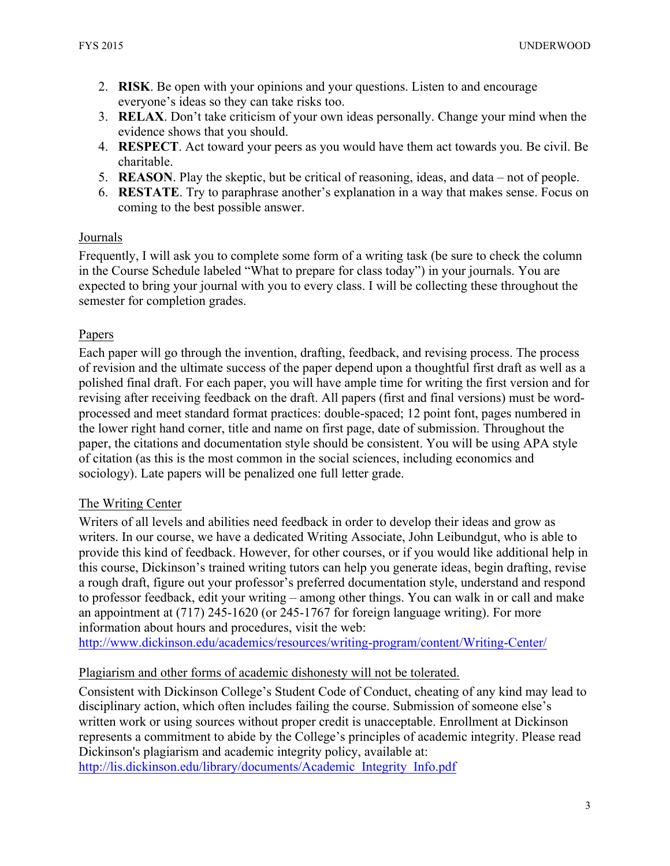- 2. **RISK**. Be open with your opinions and your questions. Listen to and encourage everyone's ideas so they can take risks too.
- 3. **RELAX**. Don't take criticism of your own ideas personally. Change your mind when the evidence shows that you should.
- 4. **RESPECT**. Act toward your peers as you would have them act towards you. Be civil. Be charitable.
- 5. **REASON**. Play the skeptic, but be critical of reasoning, ideas, and data not of people.
- 6. **RESTATE**. Try to paraphrase another's explanation in a way that makes sense. Focus on coming to the best possible answer.

### Journals

Frequently, I will ask you to complete some form of a writing task (be sure to check the column in the Course Schedule labeled "What to prepare for class today") in your journals. You are expected to bring your journal with you to every class. I will be collecting these throughout the semester for completion grades.

### Papers

Each paper will go through the invention, drafting, feedback, and revising process. The process of revision and the ultimate success of the paper depend upon a thoughtful first draft as well as a polished final draft. For each paper, you will have ample time for writing the first version and for revising after receiving feedback on the draft. All papers (first and final versions) must be wordprocessed and meet standard format practices: double-spaced; 12 point font, pages numbered in the lower right hand corner, title and name on first page, date of submission. Throughout the paper, the citations and documentation style should be consistent. You will be using APA style of citation (as this is the most common in the social sciences, including economics and sociology). Late papers will be penalized one full letter grade.

## The Writing Center

Writers of all levels and abilities need feedback in order to develop their ideas and grow as writers. In our course, we have a dedicated Writing Associate, John Leibundgut, who is able to provide this kind of feedback. However, for other courses, or if you would like additional help in this course, Dickinson's trained writing tutors can help you generate ideas, begin drafting, revise a rough draft, figure out your professor's preferred documentation style, understand and respond to professor feedback, edit your writing – among other things. You can walk in or call and make an appointment at (717) 245-1620 (or 245-1767 for foreign language writing). For more information about hours and procedures, visit the web:

http://www.dickinson.edu/academics/resources/writing-program/content/Writing-Center/

## Plagiarism and other forms of academic dishonesty will not be tolerated.

Consistent with Dickinson College's Student Code of Conduct, cheating of any kind may lead to disciplinary action, which often includes failing the course. Submission of someone else's written work or using sources without proper credit is unacceptable. Enrollment at Dickinson represents a commitment to abide by the College's principles of academic integrity. Please read Dickinson's plagiarism and academic integrity policy, available at: http://lis.dickinson.edu/library/documents/Academic\_Integrity\_Info.pdf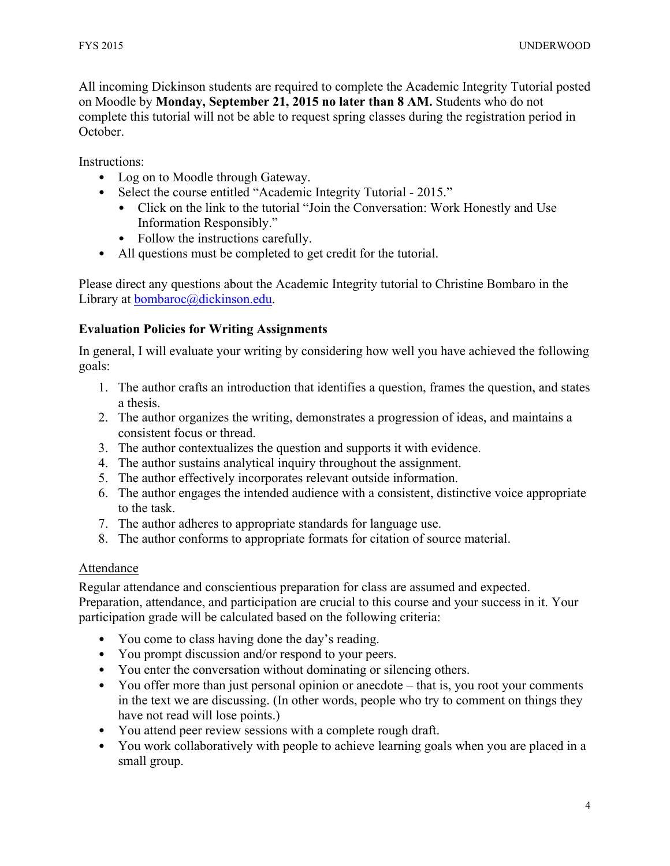All incoming Dickinson students are required to complete the Academic Integrity Tutorial posted on Moodle by **Monday, September 21, 2015 no later than 8 AM.** Students who do not complete this tutorial will not be able to request spring classes during the registration period in October.

Instructions:

- Log on to Moodle through Gateway.
- Select the course entitled "Academic Integrity Tutorial 2015."
	- Click on the link to the tutorial "Join the Conversation: Work Honestly and Use Information Responsibly."
	- Follow the instructions carefully.
- All questions must be completed to get credit for the tutorial.

Please direct any questions about the Academic Integrity tutorial to Christine Bombaro in the Library at bombaroc@dickinson.edu.

## **Evaluation Policies for Writing Assignments**

In general, I will evaluate your writing by considering how well you have achieved the following goals:

- 1. The author crafts an introduction that identifies a question, frames the question, and states a thesis.
- 2. The author organizes the writing, demonstrates a progression of ideas, and maintains a consistent focus or thread.
- 3. The author contextualizes the question and supports it with evidence.
- 4. The author sustains analytical inquiry throughout the assignment.
- 5. The author effectively incorporates relevant outside information.
- 6. The author engages the intended audience with a consistent, distinctive voice appropriate to the task.
- 7. The author adheres to appropriate standards for language use.
- 8. The author conforms to appropriate formats for citation of source material.

## Attendance

Regular attendance and conscientious preparation for class are assumed and expected. Preparation, attendance, and participation are crucial to this course and your success in it. Your participation grade will be calculated based on the following criteria:

- You come to class having done the day's reading.
- You prompt discussion and/or respond to your peers.
- You enter the conversation without dominating or silencing others.
- You offer more than just personal opinion or anecdote that is, you root your comments in the text we are discussing. (In other words, people who try to comment on things they have not read will lose points.)
- You attend peer review sessions with a complete rough draft.
- You work collaboratively with people to achieve learning goals when you are placed in a small group.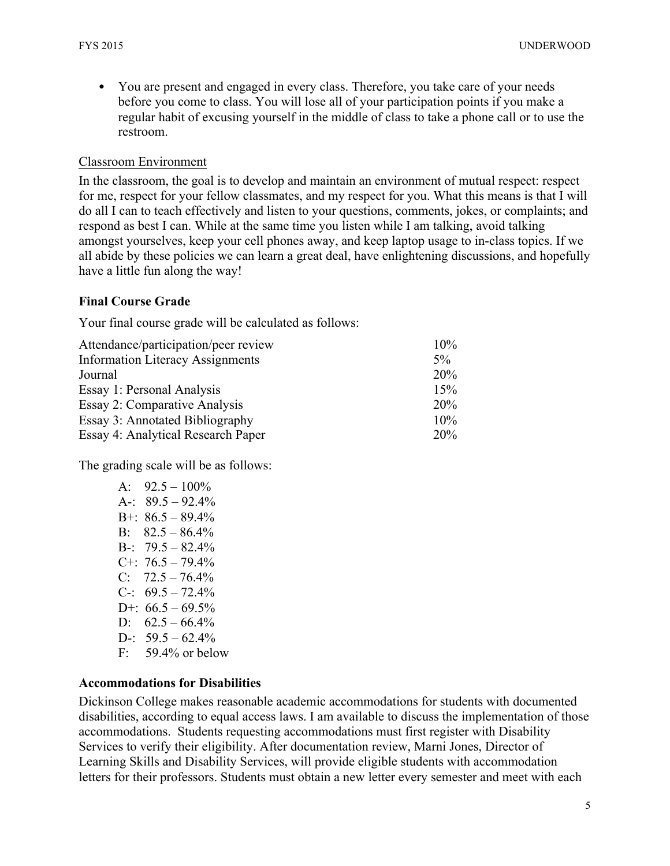• You are present and engaged in every class. Therefore, you take care of your needs before you come to class. You will lose all of your participation points if you make a regular habit of excusing yourself in the middle of class to take a phone call or to use the restroom.

### Classroom Environment

In the classroom, the goal is to develop and maintain an environment of mutual respect: respect for me, respect for your fellow classmates, and my respect for you. What this means is that I will do all I can to teach effectively and listen to your questions, comments, jokes, or complaints; and respond as best I can. While at the same time you listen while I am talking, avoid talking amongst yourselves, keep your cell phones away, and keep laptop usage to in-class topics. If we all abide by these policies we can learn a great deal, have enlightening discussions, and hopefully have a little fun along the way!

## **Final Course Grade**

Your final course grade will be calculated as follows:

| Attendance/participation/peer review    | 10%        |
|-----------------------------------------|------------|
| <b>Information Literacy Assignments</b> | $5\%$      |
| Journal                                 | <b>20%</b> |
| Essay 1: Personal Analysis              | 15%        |
| Essay 2: Comparative Analysis           | 20%        |
| Essay 3: Annotated Bibliography         | 10%        |
| Essay 4: Analytical Research Paper      | 20%        |

The grading scale will be as follows:

| $A^{\cdot}$ | $92.5 - 100\%$  |
|-------------|-----------------|
| $A -$       | $89.5 - 92.4\%$ |
| $B + \cdot$ | $86.5 - 89.4\%$ |
| $B^+$       | $82.5 - 86.4\%$ |
| $B-$        | $79.5 - 82.4\%$ |
| $C++$       | $76.5 - 79.4\%$ |
| $C_{1}$     | $72.5 - 76.4\%$ |
| $C-$        | $69.5 - 72.4\%$ |
| $D+$        | $66.5 - 69.5\%$ |
| $D$ :       | $62.5 - 66.4\%$ |
| $D-$ :      | $59.5 - 62.4\%$ |
| F:          | 59.4% or below  |
|             |                 |

## **Accommodations for Disabilities**

Dickinson College makes reasonable academic accommodations for students with documented disabilities, according to equal access laws. I am available to discuss the implementation of those accommodations. Students requesting accommodations must first register with Disability Services to verify their eligibility. After documentation review, Marni Jones, Director of Learning Skills and Disability Services, will provide eligible students with accommodation letters for their professors. Students must obtain a new letter every semester and meet with each